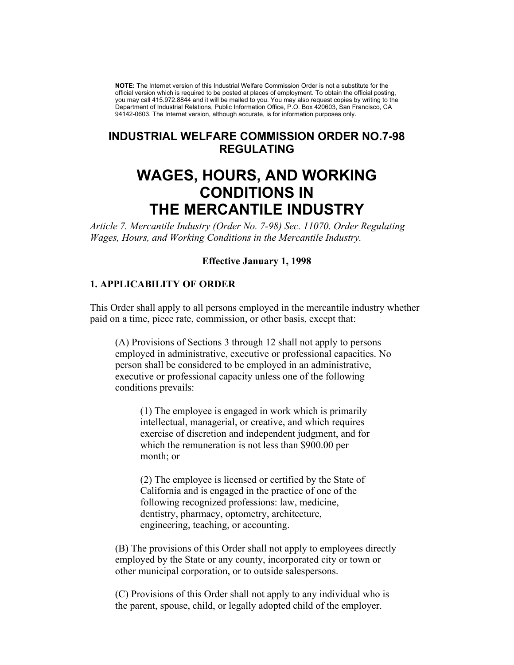**NOTE:** The Internet version of this Industrial Welfare Commission Order is not a substitute for the official version which is required to be posted at places of employment. To obtain the official posting, you may call 415.972.8844 and it will be mailed to you. You may also request copies by writing to the Department of Industrial Relations, Public Information Office, P.O. Box 420603, San Francisco, CA 94142-0603. The Internet version, although accurate, is for information purposes only.

## **INDUSTRIAL WELFARE COMMISSION ORDER NO.7-98 REGULATING**

# **WAGES, HOURS, AND WORKING CONDITIONS IN THE MERCANTILE INDUSTRY**

*Article 7. Mercantile Industry (Order No. 7-98) Sec. 11070. Order Regulating Wages, Hours, and Working Conditions in the Mercantile Industry.* 

## **Effective January 1, 1998**

#### **1. APPLICABILITY OF ORDER**

This Order shall apply to all persons employed in the mercantile industry whether paid on a time, piece rate, commission, or other basis, except that:

(A) Provisions of Sections 3 through 12 shall not apply to persons employed in administrative, executive or professional capacities. No person shall be considered to be employed in an administrative, executive or professional capacity unless one of the following conditions prevails:

(1) The employee is engaged in work which is primarily intellectual, managerial, or creative, and which requires exercise of discretion and independent judgment, and for which the remuneration is not less than \$900.00 per month; or

(2) The employee is licensed or certified by the State of California and is engaged in the practice of one of the following recognized professions: law, medicine, dentistry, pharmacy, optometry, architecture, engineering, teaching, or accounting.

(B) The provisions of this Order shall not apply to employees directly employed by the State or any county, incorporated city or town or other municipal corporation, or to outside salespersons.

(C) Provisions of this Order shall not apply to any individual who is the parent, spouse, child, or legally adopted child of the employer.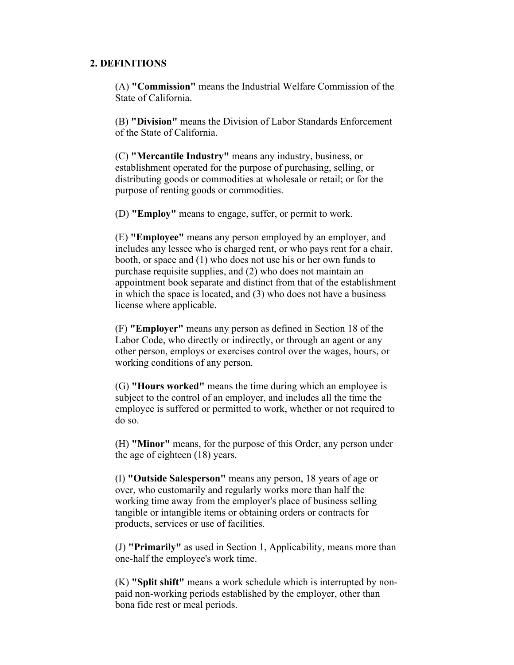## **2. DEFINITIONS**

(A) **"Commission"** means the Industrial Welfare Commission of the State of California.

(B) **"Division"** means the Division of Labor Standards Enforcement of the State of California.

(C) **"Mercantile Industry"** means any industry, business, or establishment operated for the purpose of purchasing, selling, or distributing goods or commodities at wholesale or retail; or for the purpose of renting goods or commodities.

(D) **"Employ"** means to engage, suffer, or permit to work.

(E) **"Employee"** means any person employed by an employer, and includes any lessee who is charged rent, or who pays rent for a chair, booth, or space and (1) who does not use his or her own funds to purchase requisite supplies, and (2) who does not maintain an appointment book separate and distinct from that of the establishment in which the space is located, and (3) who does not have a business license where applicable.

(F) **"Employer"** means any person as defined in Section 18 of the Labor Code, who directly or indirectly, or through an agent or any other person, employs or exercises control over the wages, hours, or working conditions of any person.

(G) **"Hours worked"** means the time during which an employee is subject to the control of an employer, and includes all the time the employee is suffered or permitted to work, whether or not required to do so.

(H) **"Minor"** means, for the purpose of this Order, any person under the age of eighteen (18) years.

(I) **"Outside Salesperson"** means any person, 18 years of age or over, who customarily and regularly works more than half the working time away from the employer's place of business selling tangible or intangible items or obtaining orders or contracts for products, services or use of facilities.

(J) **"Primarily"** as used in Section 1, Applicability, means more than one-half the employee's work time.

(K) **"Split shift"** means a work schedule which is interrupted by nonpaid non-working periods established by the employer, other than bona fide rest or meal periods.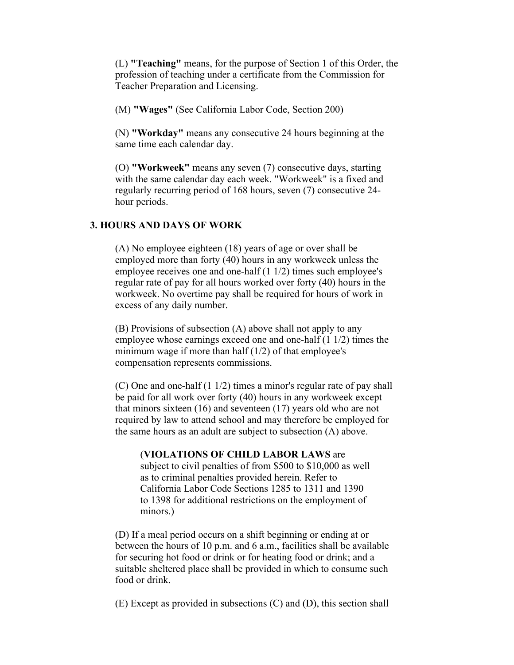(L) **"Teaching"** means, for the purpose of Section 1 of this Order, the profession of teaching under a certificate from the Commission for Teacher Preparation and Licensing.

(M) **"Wages"** (See California Labor Code, Section 200)

(N) **"Workday"** means any consecutive 24 hours beginning at the same time each calendar day.

(O) **"Workweek"** means any seven (7) consecutive days, starting with the same calendar day each week. "Workweek" is a fixed and regularly recurring period of 168 hours, seven (7) consecutive 24 hour periods.

#### **3. HOURS AND DAYS OF WORK**

(A) No employee eighteen (18) years of age or over shall be employed more than forty (40) hours in any workweek unless the employee receives one and one-half (1 1/2) times such employee's regular rate of pay for all hours worked over forty (40) hours in the workweek. No overtime pay shall be required for hours of work in excess of any daily number.

(B) Provisions of subsection (A) above shall not apply to any employee whose earnings exceed one and one-half (1 1/2) times the minimum wage if more than half  $(1/2)$  of that employee's compensation represents commissions.

(C) One and one-half (1 1/2) times a minor's regular rate of pay shall be paid for all work over forty (40) hours in any workweek except that minors sixteen (16) and seventeen (17) years old who are not required by law to attend school and may therefore be employed for the same hours as an adult are subject to subsection (A) above.

(**VIOLATIONS OF CHILD LABOR LAWS** are subject to civil penalties of from \$500 to \$10,000 as well as to criminal penalties provided herein. Refer to California Labor Code Sections 1285 to 1311 and 1390 to 1398 for additional restrictions on the employment of minors.)

(D) If a meal period occurs on a shift beginning or ending at or between the hours of 10 p.m. and 6 a.m., facilities shall be available for securing hot food or drink or for heating food or drink; and a suitable sheltered place shall be provided in which to consume such food or drink.

(E) Except as provided in subsections (C) and (D), this section shall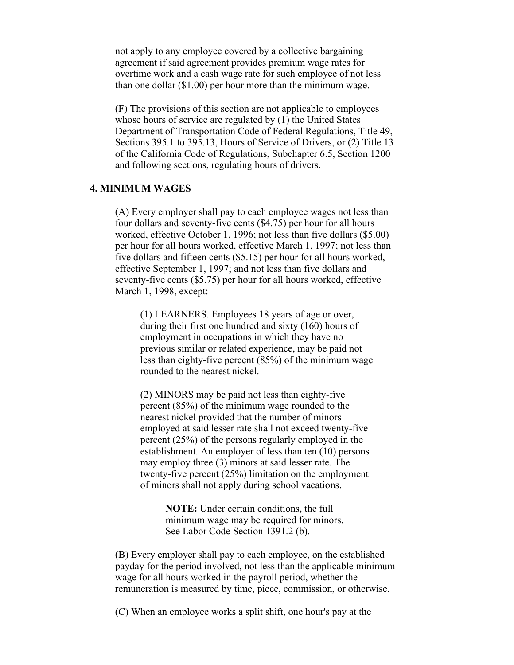not apply to any employee covered by a collective bargaining agreement if said agreement provides premium wage rates for overtime work and a cash wage rate for such employee of not less than one dollar (\$1.00) per hour more than the minimum wage.

(F) The provisions of this section are not applicable to employees whose hours of service are regulated by (1) the United States Department of Transportation Code of Federal Regulations, Title 49, Sections 395.1 to 395.13, Hours of Service of Drivers, or (2) Title 13 of the California Code of Regulations, Subchapter 6.5, Section 1200 and following sections, regulating hours of drivers.

#### **4. MINIMUM WAGES**

(A) Every employer shall pay to each employee wages not less than four dollars and seventy-five cents (\$4.75) per hour for all hours worked, effective October 1, 1996; not less than five dollars (\$5.00) per hour for all hours worked, effective March 1, 1997; not less than five dollars and fifteen cents (\$5.15) per hour for all hours worked, effective September 1, 1997; and not less than five dollars and seventy-five cents (\$5.75) per hour for all hours worked, effective March 1, 1998, except:

(1) LEARNERS. Employees 18 years of age or over, during their first one hundred and sixty (160) hours of employment in occupations in which they have no previous similar or related experience, may be paid not less than eighty-five percent (85%) of the minimum wage rounded to the nearest nickel.

(2) MINORS may be paid not less than eighty-five percent (85%) of the minimum wage rounded to the nearest nickel provided that the number of minors employed at said lesser rate shall not exceed twenty-five percent (25%) of the persons regularly employed in the establishment. An employer of less than ten (10) persons may employ three (3) minors at said lesser rate. The twenty-five percent (25%) limitation on the employment of minors shall not apply during school vacations.

> **NOTE:** Under certain conditions, the full minimum wage may be required for minors. See Labor Code Section 1391.2 (b).

(B) Every employer shall pay to each employee, on the established payday for the period involved, not less than the applicable minimum wage for all hours worked in the payroll period, whether the remuneration is measured by time, piece, commission, or otherwise.

(C) When an employee works a split shift, one hour's pay at the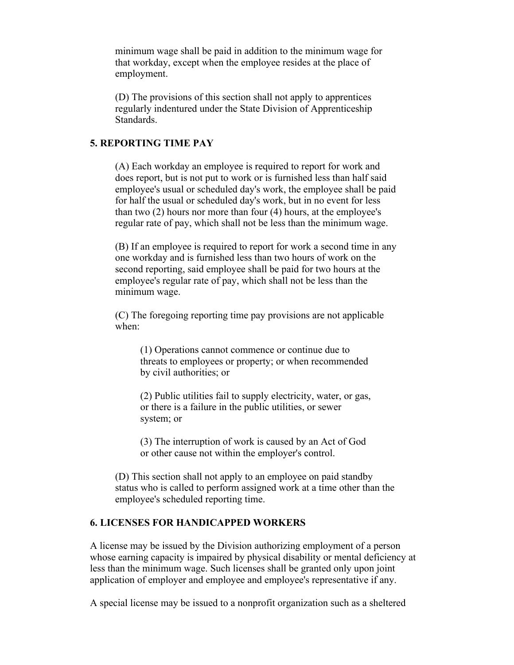minimum wage shall be paid in addition to the minimum wage for that workday, except when the employee resides at the place of employment.

(D) The provisions of this section shall not apply to apprentices regularly indentured under the State Division of Apprenticeship Standards.

## **5. REPORTING TIME PAY**

(A) Each workday an employee is required to report for work and does report, but is not put to work or is furnished less than half said employee's usual or scheduled day's work, the employee shall be paid for half the usual or scheduled day's work, but in no event for less than two (2) hours nor more than four (4) hours, at the employee's regular rate of pay, which shall not be less than the minimum wage.

(B) If an employee is required to report for work a second time in any one workday and is furnished less than two hours of work on the second reporting, said employee shall be paid for two hours at the employee's regular rate of pay, which shall not be less than the minimum wage.

(C) The foregoing reporting time pay provisions are not applicable when:

(1) Operations cannot commence or continue due to threats to employees or property; or when recommended by civil authorities; or

(2) Public utilities fail to supply electricity, water, or gas, or there is a failure in the public utilities, or sewer system; or

(3) The interruption of work is caused by an Act of God or other cause not within the employer's control.

(D) This section shall not apply to an employee on paid standby status who is called to perform assigned work at a time other than the employee's scheduled reporting time.

## **6. LICENSES FOR HANDICAPPED WORKERS**

A license may be issued by the Division authorizing employment of a person whose earning capacity is impaired by physical disability or mental deficiency at less than the minimum wage. Such licenses shall be granted only upon joint application of employer and employee and employee's representative if any.

A special license may be issued to a nonprofit organization such as a sheltered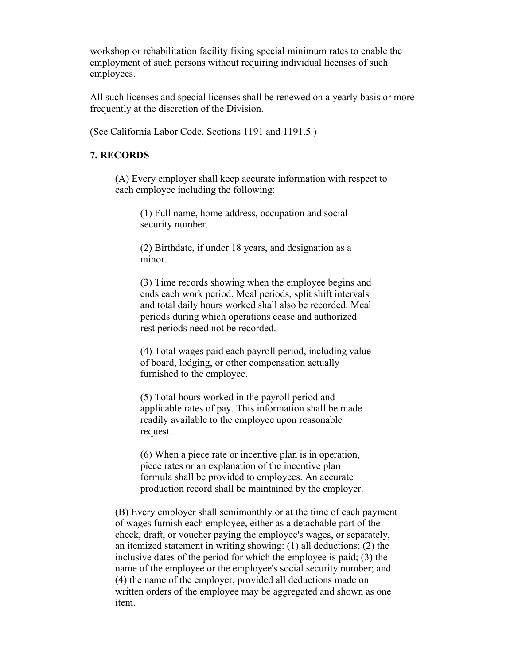workshop or rehabilitation facility fixing special minimum rates to enable the employment of such persons without requiring individual licenses of such employees.

All such licenses and special licenses shall be renewed on a yearly basis or more frequently at the discretion of the Division.

(See California Labor Code, Sections 1191 and 1191.5.)

## **7. RECORDS**

(A) Every employer shall keep accurate information with respect to each employee including the following:

(1) Full name, home address, occupation and social security number.

(2) Birthdate, if under 18 years, and designation as a minor.

(3) Time records showing when the employee begins and ends each work period. Meal periods, split shift intervals and total daily hours worked shall also be recorded. Meal periods during which operations cease and authorized rest periods need not be recorded.

(4) Total wages paid each payroll period, including value of board, lodging, or other compensation actually furnished to the employee.

(5) Total hours worked in the payroll period and applicable rates of pay. This information shall be made readily available to the employee upon reasonable request.

(6) When a piece rate or incentive plan is in operation, piece rates or an explanation of the incentive plan formula shall be provided to employees. An accurate production record shall be maintained by the employer.

(B) Every employer shall semimonthly or at the time of each payment of wages furnish each employee, either as a detachable part of the check, draft, or voucher paying the employee's wages, or separately, an itemized statement in writing showing: (1) all deductions; (2) the inclusive dates of the period for which the employee is paid; (3) the name of the employee or the employee's social security number; and (4) the name of the employer, provided all deductions made on written orders of the employee may be aggregated and shown as one item.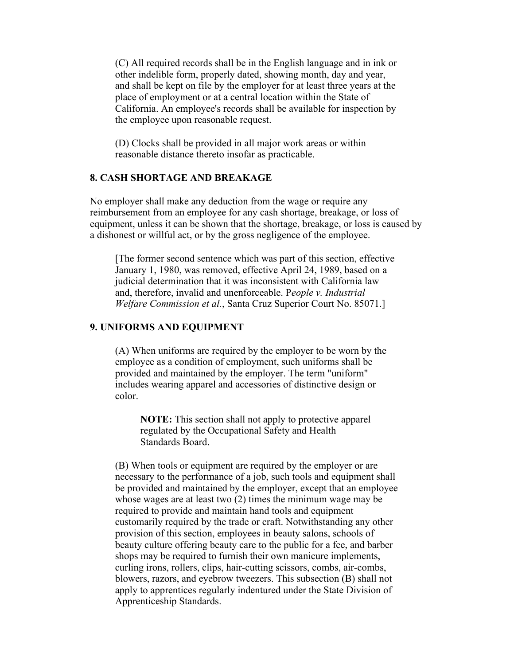(C) All required records shall be in the English language and in ink or other indelible form, properly dated, showing month, day and year, and shall be kept on file by the employer for at least three years at the place of employment or at a central location within the State of California. An employee's records shall be available for inspection by the employee upon reasonable request.

(D) Clocks shall be provided in all major work areas or within reasonable distance thereto insofar as practicable.

#### **8. CASH SHORTAGE AND BREAKAGE**

No employer shall make any deduction from the wage or require any reimbursement from an employee for any cash shortage, breakage, or loss of equipment, unless it can be shown that the shortage, breakage, or loss is caused by a dishonest or willful act, or by the gross negligence of the employee.

[The former second sentence which was part of this section, effective January 1, 1980, was removed, effective April 24, 1989, based on a judicial determination that it was inconsistent with California law and, therefore, invalid and unenforceable. P*eople v. Industrial Welfare Commission et al.*, Santa Cruz Superior Court No. 85071.]

#### **9. UNIFORMS AND EQUIPMENT**

(A) When uniforms are required by the employer to be worn by the employee as a condition of employment, such uniforms shall be provided and maintained by the employer. The term "uniform" includes wearing apparel and accessories of distinctive design or color.

**NOTE:** This section shall not apply to protective apparel regulated by the Occupational Safety and Health Standards Board.

(B) When tools or equipment are required by the employer or are necessary to the performance of a job, such tools and equipment shall be provided and maintained by the employer, except that an employee whose wages are at least two (2) times the minimum wage may be required to provide and maintain hand tools and equipment customarily required by the trade or craft. Notwithstanding any other provision of this section, employees in beauty salons, schools of beauty culture offering beauty care to the public for a fee, and barber shops may be required to furnish their own manicure implements, curling irons, rollers, clips, hair-cutting scissors, combs, air-combs, blowers, razors, and eyebrow tweezers. This subsection (B) shall not apply to apprentices regularly indentured under the State Division of Apprenticeship Standards.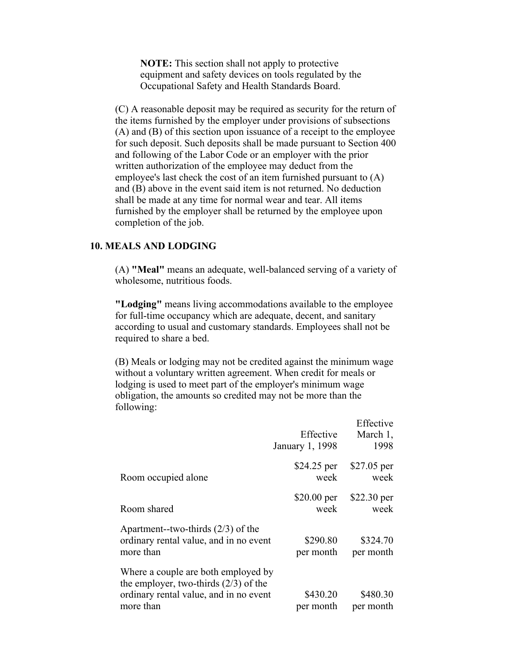**NOTE:** This section shall not apply to protective equipment and safety devices on tools regulated by the Occupational Safety and Health Standards Board.

(C) A reasonable deposit may be required as security for the return of the items furnished by the employer under provisions of subsections (A) and (B) of this section upon issuance of a receipt to the employee for such deposit. Such deposits shall be made pursuant to Section 400 and following of the Labor Code or an employer with the prior written authorization of the employee may deduct from the employee's last check the cost of an item furnished pursuant to (A) and (B) above in the event said item is not returned. No deduction shall be made at any time for normal wear and tear. All items furnished by the employer shall be returned by the employee upon completion of the job.

## **10. MEALS AND LODGING**

(A) **"Meal"** means an adequate, well-balanced serving of a variety of wholesome, nutritious foods.

**"Lodging"** means living accommodations available to the employee for full-time occupancy which are adequate, decent, and sanitary according to usual and customary standards. Employees shall not be required to share a bed.

(B) Meals or lodging may not be credited against the minimum wage without a voluntary written agreement. When credit for meals or lodging is used to meet part of the employer's minimum wage obligation, the amounts so credited may not be more than the following:

|                                                                                                                                       | Effective<br>January 1, 1998 | Effective<br>March 1,<br>1998 |
|---------------------------------------------------------------------------------------------------------------------------------------|------------------------------|-------------------------------|
| Room occupied alone                                                                                                                   | $$24.25$ per<br>week         | $$27.05$ per<br>week          |
| Room shared                                                                                                                           | $$20.00$ per<br>week         | $$22.30$ per<br>week          |
| Apartment--two-thirds $(2/3)$ of the<br>ordinary rental value, and in no event<br>more than                                           | \$290.80<br>per month        | \$324.70<br>per month         |
| Where a couple are both employed by<br>the employer, two-thirds $(2/3)$ of the<br>ordinary rental value, and in no event<br>more than | \$430.20<br>per month        | \$480.30<br>per month         |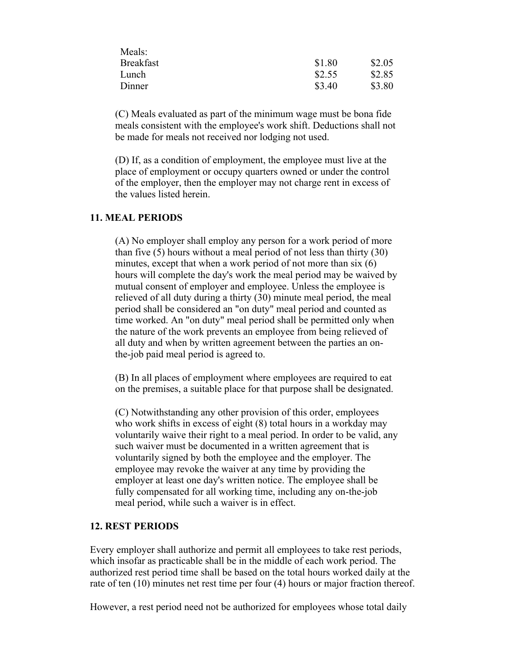| Meals:           |        |        |
|------------------|--------|--------|
| <b>Breakfast</b> | \$1.80 | \$2.05 |
| Lunch            | \$2.55 | \$2.85 |
| Dinner           | \$3.40 | \$3.80 |

(C) Meals evaluated as part of the minimum wage must be bona fide meals consistent with the employee's work shift. Deductions shall not be made for meals not received nor lodging not used.

(D) If, as a condition of employment, the employee must live at the place of employment or occupy quarters owned or under the control of the employer, then the employer may not charge rent in excess of the values listed herein.

#### **11. MEAL PERIODS**

(A) No employer shall employ any person for a work period of more than five (5) hours without a meal period of not less than thirty (30) minutes, except that when a work period of not more than six (6) hours will complete the day's work the meal period may be waived by mutual consent of employer and employee. Unless the employee is relieved of all duty during a thirty (30) minute meal period, the meal period shall be considered an "on duty" meal period and counted as time worked. An "on duty" meal period shall be permitted only when the nature of the work prevents an employee from being relieved of all duty and when by written agreement between the parties an onthe-job paid meal period is agreed to.

(B) In all places of employment where employees are required to eat on the premises, a suitable place for that purpose shall be designated.

(C) Notwithstanding any other provision of this order, employees who work shifts in excess of eight  $(8)$  total hours in a workday may voluntarily waive their right to a meal period. In order to be valid, any such waiver must be documented in a written agreement that is voluntarily signed by both the employee and the employer. The employee may revoke the waiver at any time by providing the employer at least one day's written notice. The employee shall be fully compensated for all working time, including any on-the-job meal period, while such a waiver is in effect.

## **12. REST PERIODS**

Every employer shall authorize and permit all employees to take rest periods, which insofar as practicable shall be in the middle of each work period. The authorized rest period time shall be based on the total hours worked daily at the rate of ten (10) minutes net rest time per four (4) hours or major fraction thereof.

However, a rest period need not be authorized for employees whose total daily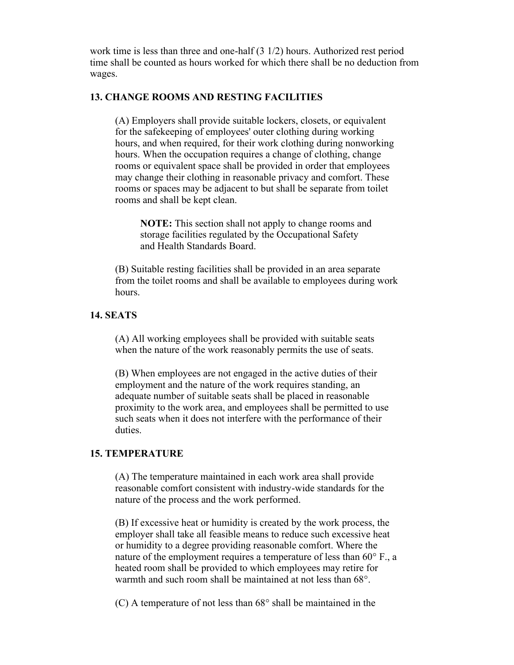work time is less than three and one-half (3 1/2) hours. Authorized rest period time shall be counted as hours worked for which there shall be no deduction from wages.

#### **13. CHANGE ROOMS AND RESTING FACILITIES**

(A) Employers shall provide suitable lockers, closets, or equivalent for the safekeeping of employees' outer clothing during working hours, and when required, for their work clothing during nonworking hours. When the occupation requires a change of clothing, change rooms or equivalent space shall be provided in order that employees may change their clothing in reasonable privacy and comfort. These rooms or spaces may be adjacent to but shall be separate from toilet rooms and shall be kept clean.

**NOTE:** This section shall not apply to change rooms and storage facilities regulated by the Occupational Safety and Health Standards Board.

(B) Suitable resting facilities shall be provided in an area separate from the toilet rooms and shall be available to employees during work hours.

#### **14. SEATS**

(A) All working employees shall be provided with suitable seats when the nature of the work reasonably permits the use of seats.

(B) When employees are not engaged in the active duties of their employment and the nature of the work requires standing, an adequate number of suitable seats shall be placed in reasonable proximity to the work area, and employees shall be permitted to use such seats when it does not interfere with the performance of their duties.

## **15. TEMPERATURE**

(A) The temperature maintained in each work area shall provide reasonable comfort consistent with industry-wide standards for the nature of the process and the work performed.

(B) If excessive heat or humidity is created by the work process, the employer shall take all feasible means to reduce such excessive heat or humidity to a degree providing reasonable comfort. Where the nature of the employment requires a temperature of less than  $60^{\circ}$  F., a heated room shall be provided to which employees may retire for warmth and such room shall be maintained at not less than 68<sup>°</sup>

(C) A temperature of not less than 68° shall be maintained in the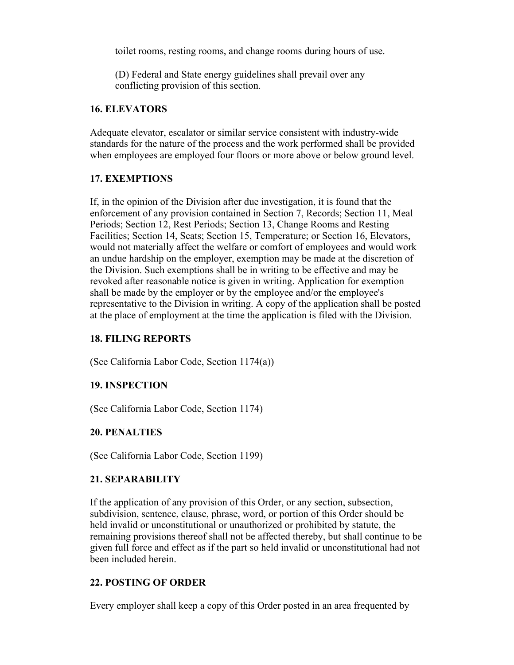toilet rooms, resting rooms, and change rooms during hours of use.

(D) Federal and State energy guidelines shall prevail over any conflicting provision of this section.

## **16. ELEVATORS**

Adequate elevator, escalator or similar service consistent with industry-wide standards for the nature of the process and the work performed shall be provided when employees are employed four floors or more above or below ground level.

## **17. EXEMPTIONS**

If, in the opinion of the Division after due investigation, it is found that the enforcement of any provision contained in Section 7, Records; Section 11, Meal Periods; Section 12, Rest Periods; Section 13, Change Rooms and Resting Facilities; Section 14, Seats; Section 15, Temperature; or Section 16, Elevators, would not materially affect the welfare or comfort of employees and would work an undue hardship on the employer, exemption may be made at the discretion of the Division. Such exemptions shall be in writing to be effective and may be revoked after reasonable notice is given in writing. Application for exemption shall be made by the employer or by the employee and/or the employee's representative to the Division in writing. A copy of the application shall be posted at the place of employment at the time the application is filed with the Division.

## **18. FILING REPORTS**

(See California Labor Code, Section 1174(a))

## **19. INSPECTION**

(See California Labor Code, Section 1174)

## **20. PENALTIES**

(See California Labor Code, Section 1199)

## **21. SEPARABILITY**

If the application of any provision of this Order, or any section, subsection, subdivision, sentence, clause, phrase, word, or portion of this Order should be held invalid or unconstitutional or unauthorized or prohibited by statute, the remaining provisions thereof shall not be affected thereby, but shall continue to be given full force and effect as if the part so held invalid or unconstitutional had not been included herein.

## **22. POSTING OF ORDER**

Every employer shall keep a copy of this Order posted in an area frequented by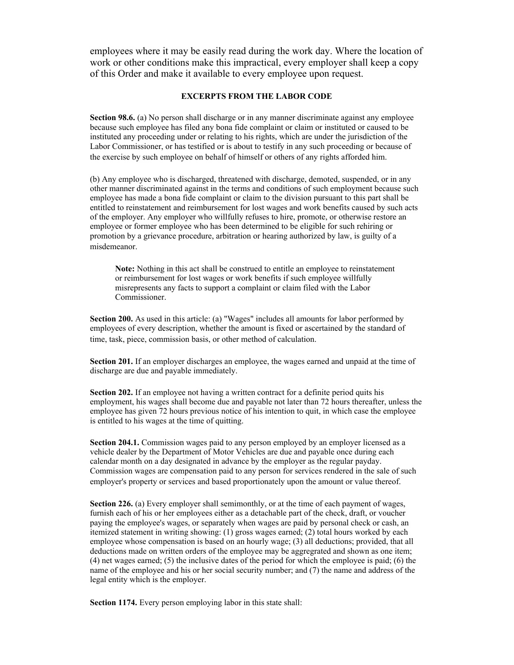employees where it may be easily read during the work day. Where the location of work or other conditions make this impractical, every employer shall keep a copy of this Order and make it available to every employee upon request.

#### **EXCERPTS FROM THE LABOR CODE**

**Section 98.6.** (a) No person shall discharge or in any manner discriminate against any employee because such employee has filed any bona fide complaint or claim or instituted or caused to be instituted any proceeding under or relating to his rights, which are under the jurisdiction of the Labor Commissioner, or has testified or is about to testify in any such proceeding or because of the exercise by such employee on behalf of himself or others of any rights afforded him.

(b) Any employee who is discharged, threatened with discharge, demoted, suspended, or in any other manner discriminated against in the terms and conditions of such employment because such employee has made a bona fide complaint or claim to the division pursuant to this part shall be entitled to reinstatement and reimbursement for lost wages and work benefits caused by such acts of the employer. Any employer who willfully refuses to hire, promote, or otherwise restore an employee or former employee who has been determined to be eligible for such rehiring or promotion by a grievance procedure, arbitration or hearing authorized by law, is guilty of a misdemeanor.

**Note:** Nothing in this act shall be construed to entitle an employee to reinstatement or reimbursement for lost wages or work benefits if such employee willfully misrepresents any facts to support a complaint or claim filed with the Labor Commissioner.

**Section 200.** As used in this article: (a) "Wages" includes all amounts for labor performed by employees of every description, whether the amount is fixed or ascertained by the standard of time, task, piece, commission basis, or other method of calculation.

**Section 201.** If an employer discharges an employee, the wages earned and unpaid at the time of discharge are due and payable immediately.

**Section 202.** If an employee not having a written contract for a definite period quits his employment, his wages shall become due and payable not later than 72 hours thereafter, unless the employee has given 72 hours previous notice of his intention to quit, in which case the employee is entitled to his wages at the time of quitting.

**Section 204.1.** Commission wages paid to any person employed by an employer licensed as a vehicle dealer by the Department of Motor Vehicles are due and payable once during each calendar month on a day designated in advance by the employer as the regular payday. Commission wages are compensation paid to any person for services rendered in the sale of such employer's property or services and based proportionately upon the amount or value thereof.

**Section 226.** (a) Every employer shall semimonthly, or at the time of each payment of wages, furnish each of his or her employees either as a detachable part of the check, draft, or voucher paying the employee's wages, or separately when wages are paid by personal check or cash, an itemized statement in writing showing: (1) gross wages earned; (2) total hours worked by each employee whose compensation is based on an hourly wage; (3) all deductions; provided, that all deductions made on written orders of the employee may be aggregrated and shown as one item; (4) net wages earned; (5) the inclusive dates of the period for which the employee is paid; (6) the name of the employee and his or her social security number; and (7) the name and address of the legal entity which is the employer.

**Section 1174.** Every person employing labor in this state shall: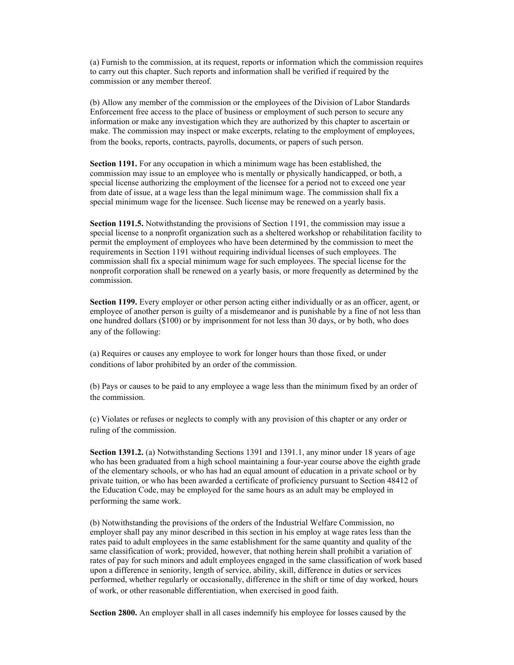(a) Furnish to the commission, at its request, reports or information which the commission requires to carry out this chapter. Such reports and information shall be verified if required by the commission or any member thereof.

(b) Allow any member of the commission or the employees of the Division of Labor Standards Enforcement free access to the place of business or employment of such person to secure any information or make any investigation which they are authorized by this chapter to ascertain or make. The commission may inspect or make excerpts, relating to the employment of employees, from the books, reports, contracts, payrolls, documents, or papers of such person.

**Section 1191.** For any occupation in which a minimum wage has been established, the commission may issue to an employee who is mentally or physically handicapped, or both, a special license authorizing the employment of the licensee for a period not to exceed one year from date of issue, at a wage less than the legal minimum wage. The commission shall fix a special minimum wage for the licensee. Such license may be renewed on a yearly basis.

**Section 1191.5.** Notwithstanding the provisions of Section 1191, the commission may issue a special license to a nonprofit organization such as a sheltered workshop or rehabilitation facility to permit the employment of employees who have been determined by the commission to meet the requirements in Section 1191 without requiring individual licenses of such employees. The commission shall fix a special minimum wage for such employees. The special license for the nonprofit corporation shall be renewed on a yearly basis, or more frequently as determined by the commission.

**Section 1199.** Every employer or other person acting either individually or as an officer, agent, or employee of another person is guilty of a misdemeanor and is punishable by a fine of not less than one hundred dollars (\$100) or by imprisonment for not less than 30 days, or by both, who does any of the following:

(a) Requires or causes any employee to work for longer hours than those fixed, or under conditions of labor prohibited by an order of the commission.

(b) Pays or causes to be paid to any employee a wage less than the minimum fixed by an order of the commission.

(c) Violates or refuses or neglects to comply with any provision of this chapter or any order or ruling of the commission.

**Section 1391.2.** (a) Notwithstanding Sections 1391 and 1391.1, any minor under 18 years of age who has been graduated from a high school maintaining a four-year course above the eighth grade of the elementary schools, or who has had an equal amount of education in a private school or by private tuition, or who has been awarded a certificate of proficiency pursuant to Section 48412 of the Education Code, may be employed for the same hours as an adult may be employed in performing the same work.

(b) Notwithstanding the provisions of the orders of the Industrial Welfare Commission, no employer shall pay any minor described in this section in his employ at wage rates less than the rates paid to adult employees in the same establishment for the same quantity and quality of the same classification of work; provided, however, that nothing herein shall prohibit a variation of rates of pay for such minors and adult employees engaged in the same classification of work based upon a difference in seniority, length of service, ability, skill, difference in duties or services performed, whether regularly or occasionally, difference in the shift or time of day worked, hours of work, or other reasonable differentiation, when exercised in good faith.

**Section 2800.** An employer shall in all cases indemnify his employee for losses caused by the